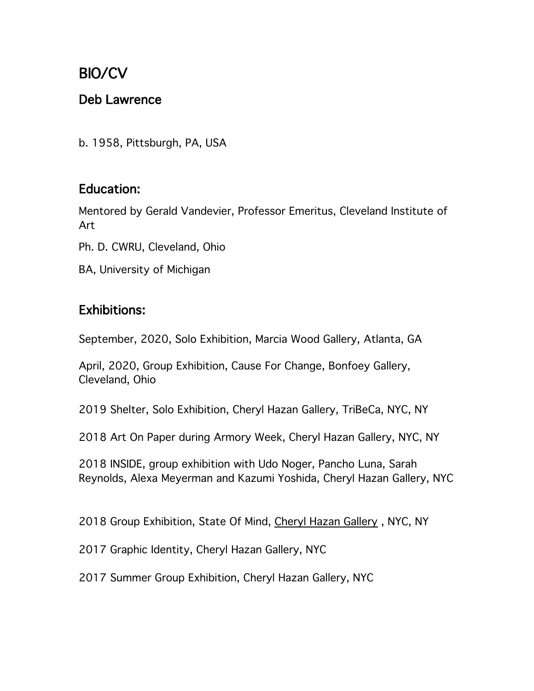# BIO/CV

### Deb Lawrence

b. 1958, Pittsburgh, PA, USA

### Education:

Mentored by Gerald Vandevier, Professor Emeritus, Cleveland Institute of Art

Ph. D. CWRU, Cleveland, Ohio

BA, University of Michigan

### Exhibitions:

September, 2020, Solo Exhibition, Marcia Wood Gallery, Atlanta, GA

April, 2020, Group Exhibition, Cause For Change, Bonfoey Gallery, Cleveland, Ohio

2019 Shelter, Solo Exhibition, Cheryl Hazan Gallery, TriBeCa, NYC, NY

2018 Art On Paper during Armory Week, Cheryl Hazan Gallery, NYC, NY

2018 INSIDE, group exhibition with Udo Noger, Pancho Luna, Sarah Reynolds, Alexa Meyerman and Kazumi Yoshida, Cheryl Hazan Gallery, NYC

2018 Group Exhibition, State Of Mind, Cheryl Hazan Gallery , NYC, NY

2017 Graphic Identity, Cheryl Hazan Gallery, NYC

2017 Summer Group Exhibition, Cheryl Hazan Gallery, NYC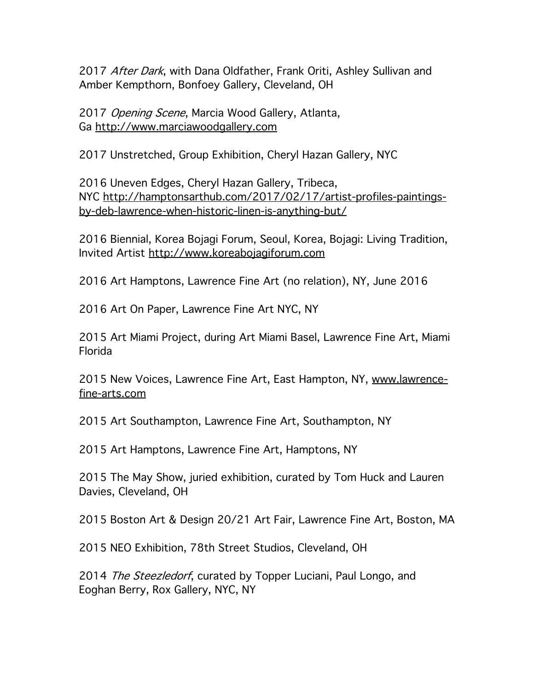2017 After Dark, with Dana Oldfather, Frank Oriti, Ashley Sullivan and Amber Kempthorn, Bonfoey Gallery, Cleveland, OH

2017 Opening Scene, Marcia Wood Gallery, Atlanta, Ga http://www.marciawoodgallery.com

2017 Unstretched, Group Exhibition, Cheryl Hazan Gallery, NYC

2016 Uneven Edges, Cheryl Hazan Gallery, Tribeca, NYC http://hamptonsarthub.com/2017/02/17/artist-profiles-paintingsby-deb-lawrence-when-historic-linen-is-anything-but/

2016 Biennial, Korea Bojagi Forum, Seoul, Korea, Bojagi: Living Tradition, Invited Artist http://www.koreabojagiforum.com

2016 Art Hamptons, Lawrence Fine Art (no relation), NY, June 2016

2016 Art On Paper, Lawrence Fine Art NYC, NY

2015 Art Miami Project, during Art Miami Basel, Lawrence Fine Art, Miami Florida

2015 New Voices, Lawrence Fine Art, East Hampton, NY, www.lawrencefine-arts.com

2015 Art Southampton, Lawrence Fine Art, Southampton, NY

2015 Art Hamptons, Lawrence Fine Art, Hamptons, NY

2015 The May Show, juried exhibition, curated by Tom Huck and Lauren Davies, Cleveland, OH

2015 Boston Art & Design 20/21 Art Fair, Lawrence Fine Art, Boston, MA

2015 NEO Exhibition, 78th Street Studios, Cleveland, OH

2014 The Steezledorf, curated by Topper Luciani, Paul Longo, and Eoghan Berry, Rox Gallery, NYC, NY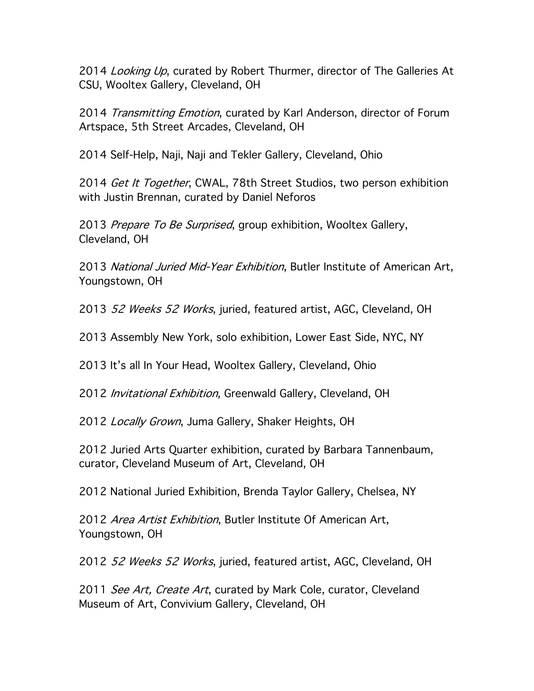2014 Looking Up, curated by Robert Thurmer, director of The Galleries At CSU, Wooltex Gallery, Cleveland, OH

2014 Transmitting Emotion, curated by Karl Anderson, director of Forum Artspace, 5th Street Arcades, Cleveland, OH

2014 Self-Help, Naji, Naji and Tekler Gallery, Cleveland, Ohio

2014 Get It Together, CWAL, 78th Street Studios, two person exhibition with Justin Brennan, curated by Daniel Neforos

2013 Prepare To Be Surprised, group exhibition, Wooltex Gallery, Cleveland, OH

2013 National Juried Mid-Year Exhibition, Butler Institute of American Art, Youngstown, OH

2013 52 Weeks 52 Works, juried, featured artist, AGC, Cleveland, OH

2013 Assembly New York, solo exhibition, Lower East Side, NYC, NY

2013 It's all In Your Head, Wooltex Gallery, Cleveland, Ohio

2012 *Invitational Exhibition*, Greenwald Gallery, Cleveland, OH

2012 Locally Grown, Juma Gallery, Shaker Heights, OH

2012 Juried Arts Quarter exhibition, curated by Barbara Tannenbaum, curator, Cleveland Museum of Art, Cleveland, OH

2012 National Juried Exhibition, Brenda Taylor Gallery, Chelsea, NY

2012 Area Artist Exhibition, Butler Institute Of American Art, Youngstown, OH

2012 52 Weeks 52 Works, juried, featured artist, AGC, Cleveland, OH

2011 See Art, Create Art, curated by Mark Cole, curator, Cleveland Museum of Art, Convivium Gallery, Cleveland, OH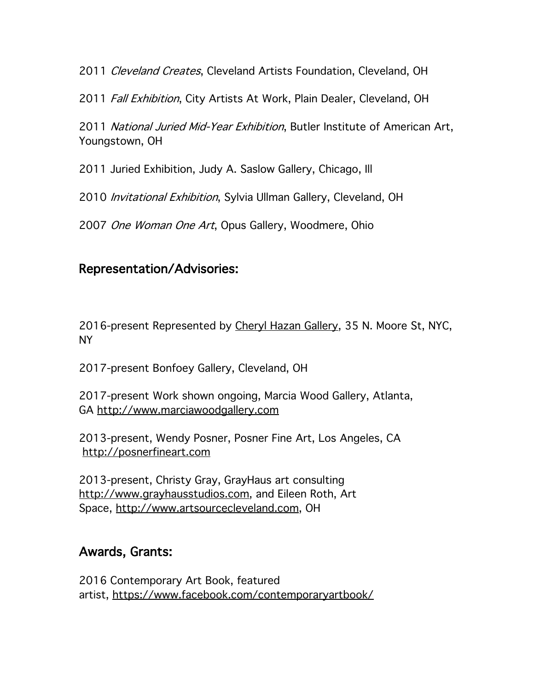2011 Cleveland Creates, Cleveland Artists Foundation, Cleveland, OH

2011 Fall Exhibition, City Artists At Work, Plain Dealer, Cleveland, OH

2011 National Juried Mid-Year Exhibition, Butler Institute of American Art, Youngstown, OH

2011 Juried Exhibition, Judy A. Saslow Gallery, Chicago, Ill

2010 *Invitational Exhibition*, Sylvia Ullman Gallery, Cleveland, OH

2007 One Woman One Art, Opus Gallery, Woodmere, Ohio

### Representation/Advisories:

2016-present Represented by Cheryl Hazan Gallery, 35 N. Moore St, NYC, NY

2017-present Bonfoey Gallery, Cleveland, OH

2017-present Work shown ongoing, Marcia Wood Gallery, Atlanta, GA http://www.marciawoodgallery.com

2013-present, Wendy Posner, Posner Fine Art, Los Angeles, CA http://posnerfineart.com

2013-present, Christy Gray, GrayHaus art consulting http://www.grayhausstudios.com, and Eileen Roth, Art Space, http://www.artsourcecleveland.com, OH

# Awards, Grants:

2016 Contemporary Art Book, featured artist, https://www.facebook.com/contemporaryartbook/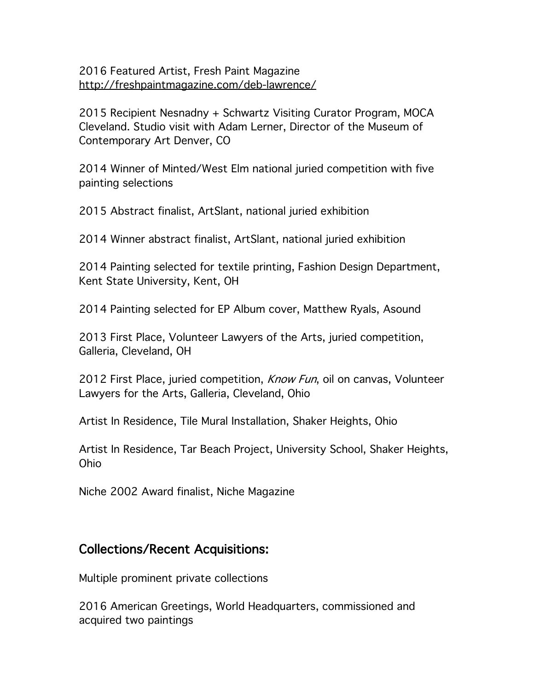#### 2016 Featured Artist, Fresh Paint Magazine http://freshpaintmagazine.com/deb-lawrence/

2015 Recipient Nesnadny + Schwartz Visiting Curator Program, MOCA Cleveland. Studio visit with Adam Lerner, Director of the Museum of Contemporary Art Denver, CO

2014 Winner of Minted/West Elm national juried competition with five painting selections

2015 Abstract finalist, ArtSlant, national juried exhibition

2014 Winner abstract finalist, ArtSlant, national juried exhibition

2014 Painting selected for textile printing, Fashion Design Department, Kent State University, Kent, OH

2014 Painting selected for EP Album cover, Matthew Ryals, Asound

2013 First Place, Volunteer Lawyers of the Arts, juried competition, Galleria, Cleveland, OH

2012 First Place, juried competition, *Know Fun*, oil on canvas, Volunteer Lawyers for the Arts, Galleria, Cleveland, Ohio

Artist In Residence, Tile Mural Installation, Shaker Heights, Ohio

Artist In Residence, Tar Beach Project, University School, Shaker Heights, Ohio

Niche 2002 Award finalist, Niche Magazine

#### Collections/Recent Acquisitions:

Multiple prominent private collections

2016 American Greetings, World Headquarters, commissioned and acquired two paintings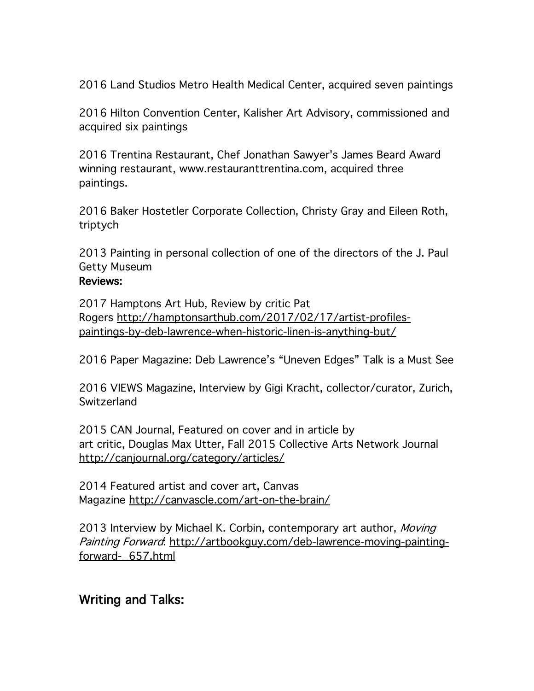2016 Land Studios Metro Health Medical Center, acquired seven paintings

2016 Hilton Convention Center, Kalisher Art Advisory, commissioned and acquired six paintings

2016 Trentina Restaurant, Chef Jonathan Sawyer's James Beard Award winning restaurant, www.restauranttrentina.com, acquired three paintings.

2016 Baker Hostetler Corporate Collection, Christy Gray and Eileen Roth, triptych

2013 Painting in personal collection of one of the directors of the J. Paul Getty Museum

#### Reviews:

2017 Hamptons Art Hub, Review by critic Pat Rogers http://hamptonsarthub.com/2017/02/17/artist-profilespaintings-by-deb-lawrence-when-historic-linen-is-anything-but/

2016 Paper Magazine: Deb Lawrence's "Uneven Edges" Talk is a Must See

2016 VIEWS Magazine, Interview by Gigi Kracht, collector/curator, Zurich, **Switzerland** 

2015 CAN Journal, Featured on cover and in article by art critic, Douglas Max Utter, Fall 2015 Collective Arts Network Journal http://canjournal.org/category/articles/

2014 Featured artist and cover art, Canvas Magazine http://canvascle.com/art-on-the-brain/

2013 Interview by Michael K. Corbin, contemporary art author, Moving Painting Forward: http://artbookguy.com/deb-lawrence-moving-paintingforward-\_657.html

### Writing and Talks: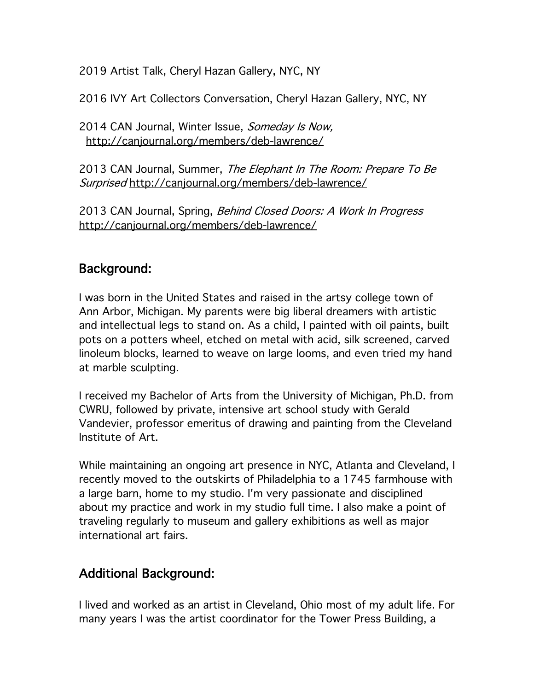2019 Artist Talk, Cheryl Hazan Gallery, NYC, NY

2016 IVY Art Collectors Conversation, Cheryl Hazan Gallery, NYC, NY

2014 CAN Journal, Winter Issue, Someday Is Now, http://canjournal.org/members/deb-lawrence/

2013 CAN Journal, Summer, The Elephant In The Room: Prepare To Be Surprised http://canjournal.org/members/deb-lawrence/

2013 CAN Journal, Spring, Behind Closed Doors: A Work In Progress http://canjournal.org/members/deb-lawrence/

# Background:

I was born in the United States and raised in the artsy college town of Ann Arbor, Michigan. My parents were big liberal dreamers with artistic and intellectual legs to stand on. As a child, I painted with oil paints, built pots on a potters wheel, etched on metal with acid, silk screened, carved linoleum blocks, learned to weave on large looms, and even tried my hand at marble sculpting.

I received my Bachelor of Arts from the University of Michigan, Ph.D. from CWRU, followed by private, intensive art school study with Gerald Vandevier, professor emeritus of drawing and painting from the Cleveland Institute of Art.

While maintaining an ongoing art presence in NYC, Atlanta and Cleveland, I recently moved to the outskirts of Philadelphia to a 1745 farmhouse with a large barn, home to my studio. I'm very passionate and disciplined about my practice and work in my studio full time. I also make a point of traveling regularly to museum and gallery exhibitions as well as major international art fairs.

# Additional Background:

I lived and worked as an artist in Cleveland, Ohio most of my adult life. For many years I was the artist coordinator for the Tower Press Building, a